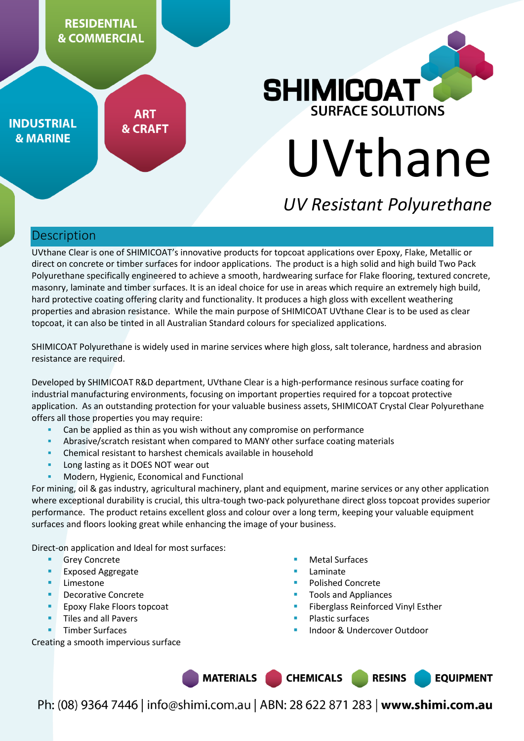

**INDUSTRIAL & MARINE** 

**ART & CRAFT** 

# **SHIMICOAT** URFACE SOLUTIONS UVthane

# *UV Resistant Polyurethane*

### Description

UVthane Clear is one of SHIMICOAT's innovative products for topcoat applications over Epoxy, Flake, Metallic or direct on concrete or timber surfaces for indoor applications. The product is a high solid and high build Two Pack Polyurethane specifically engineered to achieve a smooth, hardwearing surface for Flake flooring, textured concrete, masonry, laminate and timber surfaces. It is an ideal choice for use in areas which require an extremely high build, hard protective coating offering clarity and functionality. It produces a high gloss with excellent weathering properties and abrasion resistance. While the main purpose of SHIMICOAT UVthane Clear is to be used as clear topcoat, it can also be tinted in all Australian Standard colours for specialized applications.

SHIMICOAT Polyurethane is widely used in marine services where high gloss, salt tolerance, hardness and abrasion resistance are required.

Developed by SHIMICOAT R&D department, UVthane Clear is a high-performance resinous surface coating for industrial manufacturing environments, focusing on important properties required for a topcoat protective application. As an outstanding protection for your valuable business assets, SHIMICOAT Crystal Clear Polyurethane offers all those properties you may require:

- Can be applied as thin as you wish without any compromise on performance
- Abrasive/scratch resistant when compared to MANY other surface coating materials
- Chemical resistant to harshest chemicals available in household
- Long lasting as it DOES NOT wear out
- Modern, Hygienic, Economical and Functional

For mining, oil & gas industry, agricultural machinery, plant and equipment, marine services or any other application where exceptional durability is crucial, this ultra-tough two-pack polyurethane direct gloss topcoat provides superior performance. The product retains excellent gloss and colour over a long term, keeping your valuable equipment surfaces and floors looking great while enhancing the image of your business.

Direct-on application and Ideal for most surfaces:

- Grey Concrete
- Exposed Aggregate
- **Limestone**
- Decorative Concrete
- Epoxy Flake Floors topcoat
- Tiles and all Pavers
- Timber Surfaces

Creating a smooth impervious surface

- Metal Surfaces
- Laminate
- Polished Concrete
- Tools and Appliances
- Fiberglass Reinforced Vinyl Esther
- Plastic surfaces
- Indoor & Undercover Outdoor

MATERIALS | **CHEMICALS RESINS EQUIPMENT**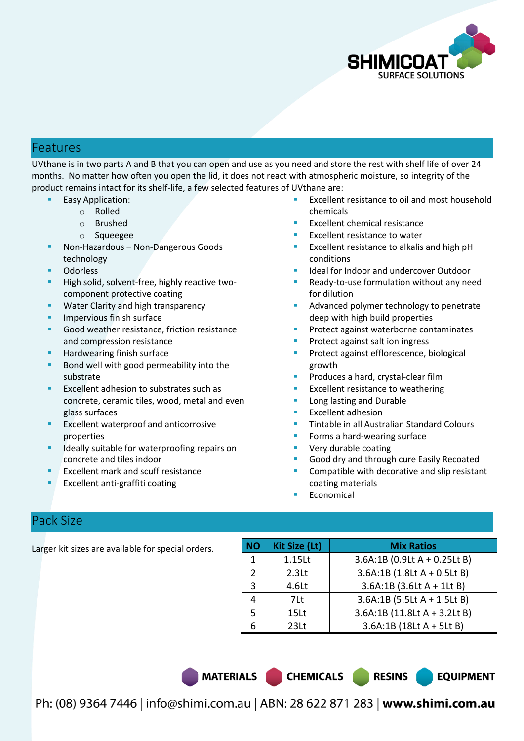

### Features

UVthane is in two parts A and B that you can open and use as you need and store the rest with shelf life of over 24 months. No matter how often you open the lid, it does not react with atmospheric moisture, so integrity of the product remains intact for its shelf-life, a few selected features of UVthane are:

- Easy Application:
	- o Rolled
	- o Brushed
	- o Squeegee
- Non-Hazardous Non-Dangerous Goods technology
- **Odorless**
- High solid, solvent-free, highly reactive twocomponent protective coating
- Water Clarity and high transparency
- Impervious finish surface
- Good weather resistance, friction resistance and compression resistance
- Hardwearing finish surface
- Bond well with good permeability into the substrate
- Excellent adhesion to substrates such as concrete, ceramic tiles, wood, metal and even glass surfaces
- Excellent waterproof and anticorrosive properties
- Ideally suitable for waterproofing repairs on concrete and tiles indoor
- Excellent mark and scuff resistance
- Excellent anti-graffiti coating
- Excellent resistance to oil and most household chemicals
- Excellent chemical resistance
- Excellent resistance to water
- Excellent resistance to alkalis and high pH conditions
- Ideal for Indoor and undercover Outdoor
- Ready-to-use formulation without any need for dilution
- Advanced polymer technology to penetrate deep with high build properties
- Protect against waterborne contaminates
- Protect against salt ion ingress
- Protect against efflorescence, biological growth
- Produces a hard, crystal-clear film
- Excellent resistance to weathering
- Long lasting and Durable
- Excellent adhesion
- Tintable in all Australian Standard Colours
- Forms a hard-wearing surface
- Very durable coating
- Good dry and through cure Easily Recoated
- Compatible with decorative and slip resistant coating materials

**EQUIPMENT** 

Economical

### Pack Size

Larger kit sizes are available for special orders.

| <b>NO</b>     | <b>Kit Size (Lt)</b> | <b>Mix Ratios</b>            |  |
|---------------|----------------------|------------------------------|--|
|               | 1.15Lt               | 3.6A:1B (0.9Lt A + 0.25Lt B) |  |
| $\mathcal{P}$ | 2.3 <sub>Lt</sub>    | 3.6A:1B (1.8Lt A + 0.5Lt B)  |  |
| 3             | 4.6Lt                | $3.6A:1B(3.6LtA + 1LtB)$     |  |
|               | 7Lt                  | 3.6A:1B (5.5Lt A + 1.5Lt B)  |  |
|               | 15Lt                 | 3.6A:1B (11.8Lt A + 3.2Lt B) |  |
|               | 231t                 | $3.6A:1B(18LtA + 5LtB)$      |  |

MATERIALS CHEMICALS RESINS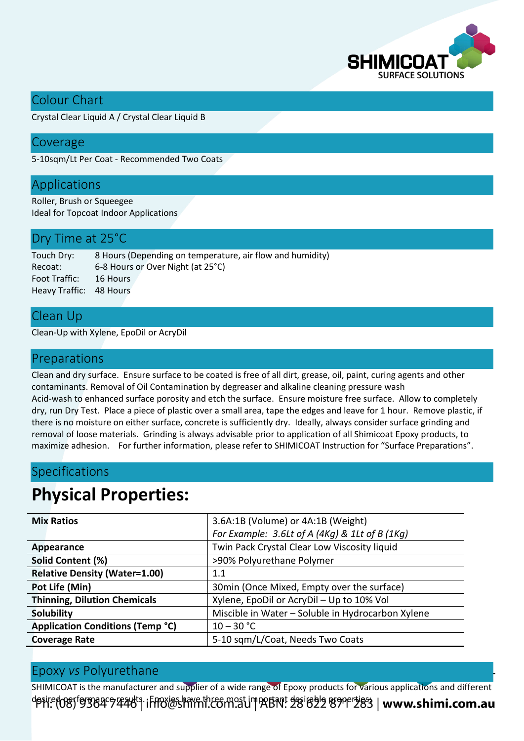

### Colour Chart

Crystal Clear Liquid A / Crystal Clear Liquid B

### Coverage

5-10sqm/Lt Per Coat - Recommended Two Coats

### Applications

Roller, Brush or Squeegee Ideal for Topcoat Indoor Applications

### Dry Time at 25°C

Touch Dry: 8 Hours (Depending on temperature, air flow and humidity) Recoat: 6-8 Hours or Over Night (at 25°C) Foot Traffic: 16 Hours Heavy Traffic: 48 Hours

### Clean Up

Clean-Up with Xylene, EpoDil or AcryDil

### Preparations

Clean and dry surface. Ensure surface to be coated is free of all dirt, grease, oil, paint, curing agents and other contaminants. Removal of Oil Contamination by degreaser and alkaline cleaning pressure wash Acid-wash to enhanced surface porosity and etch the surface. Ensure moisture free surface. Allow to completely dry, run Dry Test. Place a piece of plastic over a small area, tape the edges and leave for 1 hour. Remove plastic, if there is no moisture on either surface, concrete is sufficiently dry. Ideally, always consider surface grinding and removal of loose materials. Grinding is always advisable prior to application of all Shimicoat Epoxy products, to maximize adhesion. For further information, please refer to SHIMICOAT Instruction for "Surface Preparations".

### Specifications

# **Physical Properties:**

| <b>Mix Ratios</b>                       | 3.6A:1B (Volume) or 4A:1B (Weight)                |  |
|-----------------------------------------|---------------------------------------------------|--|
|                                         | For Example: 3.6Lt of A (4Kg) & 1Lt of B (1Kg)    |  |
| Appearance                              | Twin Pack Crystal Clear Low Viscosity liquid      |  |
| Solid Content (%)                       | >90% Polyurethane Polymer                         |  |
| <b>Relative Density (Water=1.00)</b>    | 1.1                                               |  |
| Pot Life (Min)                          | 30min (Once Mixed, Empty over the surface)        |  |
| <b>Thinning, Dilution Chemicals</b>     | Xylene, EpoDil or AcryDil - Up to 10% Vol         |  |
| Solubility                              | Miscible in Water - Soluble in Hydrocarbon Xylene |  |
| <b>Application Conditions (Temp °C)</b> | $10 - 30 °C$                                      |  |
| <b>Coverage Rate</b>                    | 5-10 sqm/L/Coat, Needs Two Coats                  |  |

### Epoxy *vs* Polyurethane

SHIMICOAT is the manufacturer and supplier of a wide range of Epoxy products for various applications and different desire togy for grad exacts. Effexias have three most important desirable grade desired in www.shimi.com.au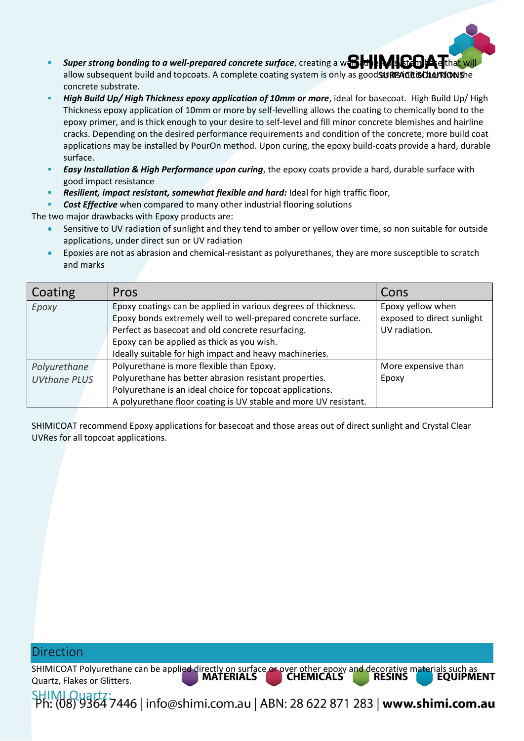

- **Super strong bonding to a well-prepared concrete surface**, creating a we the **based of the system of set** that will allow subsequent build and topcoats. A complete coating system is only as good SURFAGE is OLLOTED alle concrete substrate.
- *High Build Up/ High Thickness epoxy application of 10mm or more*, ideal for basecoat. High Build Up/ High Thickness epoxy application of 10mm or more by self-levelling allows the coating to chemically bond to the epoxy primer, and is thick enough to your desire to self-level and fill minor concrete blemishes and hairline cracks. Depending on the desired performance requirements and condition of the concrete, more build coat applications may be installed by PourOn method. Upon curing, the epoxy build-coats provide a hard, durable surface.
- *Easy Installation & High Performance upon curing*, the epoxy coats provide a hard, durable surface with good impact resistance
- *Resilient, impact resistant, somewhat flexible and hard:* Ideal for high traffic floor,
- *Cost Effective* when compared to many other industrial flooring solutions

The two major drawbacks with Epoxy products are:

- Sensitive to UV radiation of sunlight and they tend to amber or yellow over time, so non suitable for outside applications, under direct sun or UV radiation
- Epoxies are not as abrasion and chemical-resistant as polyurethanes, they are more susceptible to scratch and marks

| Coating             | Pros                                                             | Cons                       |
|---------------------|------------------------------------------------------------------|----------------------------|
| Epoxy               | Epoxy coatings can be applied in various degrees of thickness.   | Epoxy yellow when          |
|                     | Epoxy bonds extremely well to well-prepared concrete surface.    | exposed to direct sunlight |
|                     | Perfect as basecoat and old concrete resurfacing.                | UV radiation.              |
|                     | Epoxy can be applied as thick as you wish.                       |                            |
|                     | Ideally suitable for high impact and heavy machineries.          |                            |
| Polyurethane        | Polyurethane is more flexible than Epoxy.                        | More expensive than        |
| <b>UVthane PLUS</b> | Polyurethane has better abrasion resistant properties.           | Epoxy                      |
|                     | Polyurethane is an ideal choice for topcoat applications.        |                            |
|                     | A polyurethane floor coating is UV stable and more UV resistant. |                            |

SHIMICOAT recommend Epoxy applications for basecoat and those areas out of direct sunlight and Crystal Clear UVRes for all topcoat applications.

### Direction

SHIMICOAT Polyurethane can be applied directly on surface or over other epoxy and decorative materials such a<br>CHEMICALS RESINS EQUI Quartz, Flakes or Glitters.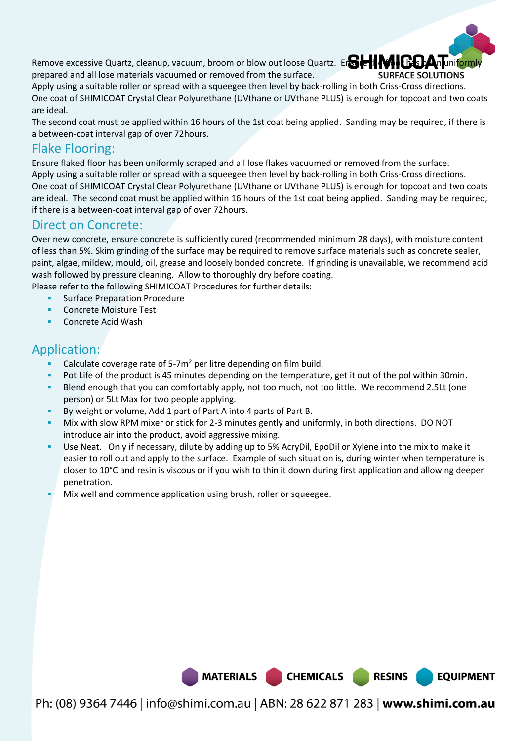Remove excessive Quartz, cleanup, vacuum, broom or blow out loose Quartz. Ensure the floor has been uniformly prepared and all lose materials vacuumed or removed from the surface.



**EQUIPMENT** 

Apply using a suitable roller or spread with a squeegee then level by back-rolling in both Criss-Cross directions. One coat of SHIMICOAT Crystal Clear Polyurethane (UVthane or UVthane PLUS) is enough for topcoat and two coats are ideal.

The second coat must be applied within 16 hours of the 1st coat being applied. Sanding may be required, if there is a between-coat interval gap of over 72hours.

### Flake Flooring:

Ensure flaked floor has been uniformly scraped and all lose flakes vacuumed or removed from the surface. Apply using a suitable roller or spread with a squeegee then level by back-rolling in both Criss-Cross directions. One coat of SHIMICOAT Crystal Clear Polyurethane (UVthane or UVthane PLUS) is enough for topcoat and two coats are ideal. The second coat must be applied within 16 hours of the 1st coat being applied. Sanding may be required, if there is a between-coat interval gap of over 72hours.

### Direct on Concrete:

Over new concrete, ensure concrete is sufficiently cured (recommended minimum 28 days), with moisture content of less than 5%. Skim grinding of the surface may be required to remove surface materials such as concrete sealer, paint, algae, mildew, mould, oil, grease and loosely bonded concrete. If grinding is unavailable, we recommend acid wash followed by pressure cleaning. Allow to thoroughly dry before coating.

Please refer to the following SHIMICOAT Procedures for further details:

- Surface Preparation Procedure
- Concrete Moisture Test
- Concrete Acid Wash

### Application:

- Calculate coverage rate of 5-7m² per litre depending on film build.
- Pot Life of the product is 45 minutes depending on the temperature, get it out of the pol within 30min.
- Blend enough that you can comfortably apply, not too much, not too little. We recommend 2.5Lt (one person) or 5Lt Max for two people applying.
- By weight or volume, Add 1 part of Part A into 4 parts of Part B.
- Mix with slow RPM mixer or stick for 2-3 minutes gently and uniformly, in both directions. DO NOT introduce air into the product, avoid aggressive mixing.
- Use Neat. Only if necessary, dilute by adding up to 5% AcryDil, EpoDil or Xylene into the mix to make it easier to roll out and apply to the surface. Example of such situation is, during winter when temperature is closer to 10°C and resin is viscous or if you wish to thin it down during first application and allowing deeper penetration.
- Mix well and commence application using brush, roller or squeegee.